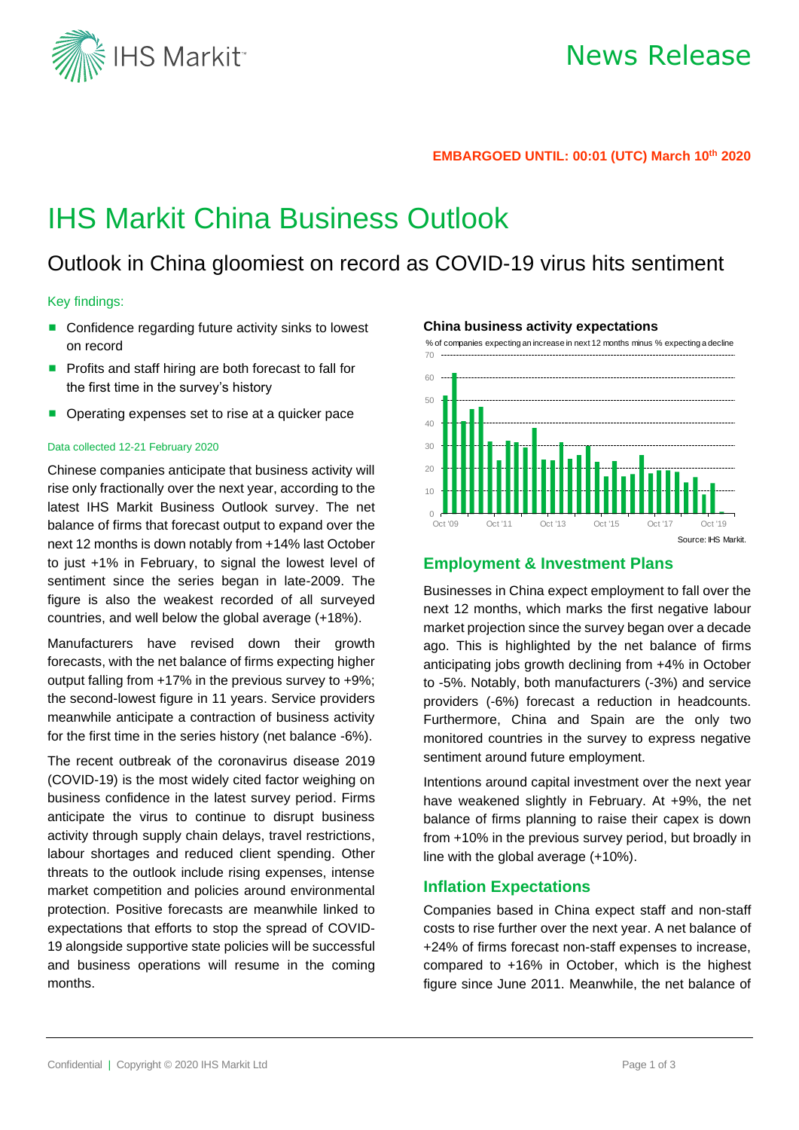

#### **EMBARGOED UNTIL: 00:01 (UTC) March 10 th 2020**

# IHS Markit China Business Outlook

## Outlook in China gloomiest on record as COVID-19 virus hits sentiment

#### Key findings:

- Confidence regarding future activity sinks to lowest on record
- Profits and staff hiring are both forecast to fall for the first time in the survey's history
- Operating expenses set to rise at a quicker pace

#### Data collected 12-21 February 2020

Chinese companies anticipate that business activity will rise only fractionally over the next year, according to the latest IHS Markit Business Outlook survey. The net balance of firms that forecast output to expand over the next 12 months is down notably from +14% last October to just +1% in February, to signal the lowest level of sentiment since the series began in late-2009. The figure is also the weakest recorded of all surveyed countries, and well below the global average (+18%).

Manufacturers have revised down their growth forecasts, with the net balance of firms expecting higher output falling from +17% in the previous survey to +9%; the second-lowest figure in 11 years. Service providers meanwhile anticipate a contraction of business activity for the first time in the series history (net balance -6%).

The recent outbreak of the coronavirus disease 2019 (COVID-19) is the most widely cited factor weighing on business confidence in the latest survey period. Firms anticipate the virus to continue to disrupt business activity through supply chain delays, travel restrictions, labour shortages and reduced client spending. Other threats to the outlook include rising expenses, intense market competition and policies around environmental protection. Positive forecasts are meanwhile linked to expectations that efforts to stop the spread of COVID-19 alongside supportive state policies will be successful and business operations will resume in the coming months.





### **Employment & Investment Plans**

Businesses in China expect employment to fall over the next 12 months, which marks the first negative labour market projection since the survey began over a decade ago. This is highlighted by the net balance of firms anticipating jobs growth declining from +4% in October to -5%. Notably, both manufacturers (-3%) and service providers (-6%) forecast a reduction in headcounts. Furthermore, China and Spain are the only two monitored countries in the survey to express negative sentiment around future employment.

Intentions around capital investment over the next year have weakened slightly in February. At +9%, the net balance of firms planning to raise their capex is down from +10% in the previous survey period, but broadly in line with the global average (+10%).

## **Inflation Expectations**

Companies based in China expect staff and non-staff costs to rise further over the next year. A net balance of +24% of firms forecast non-staff expenses to increase, compared to +16% in October, which is the highest figure since June 2011. Meanwhile, the net balance of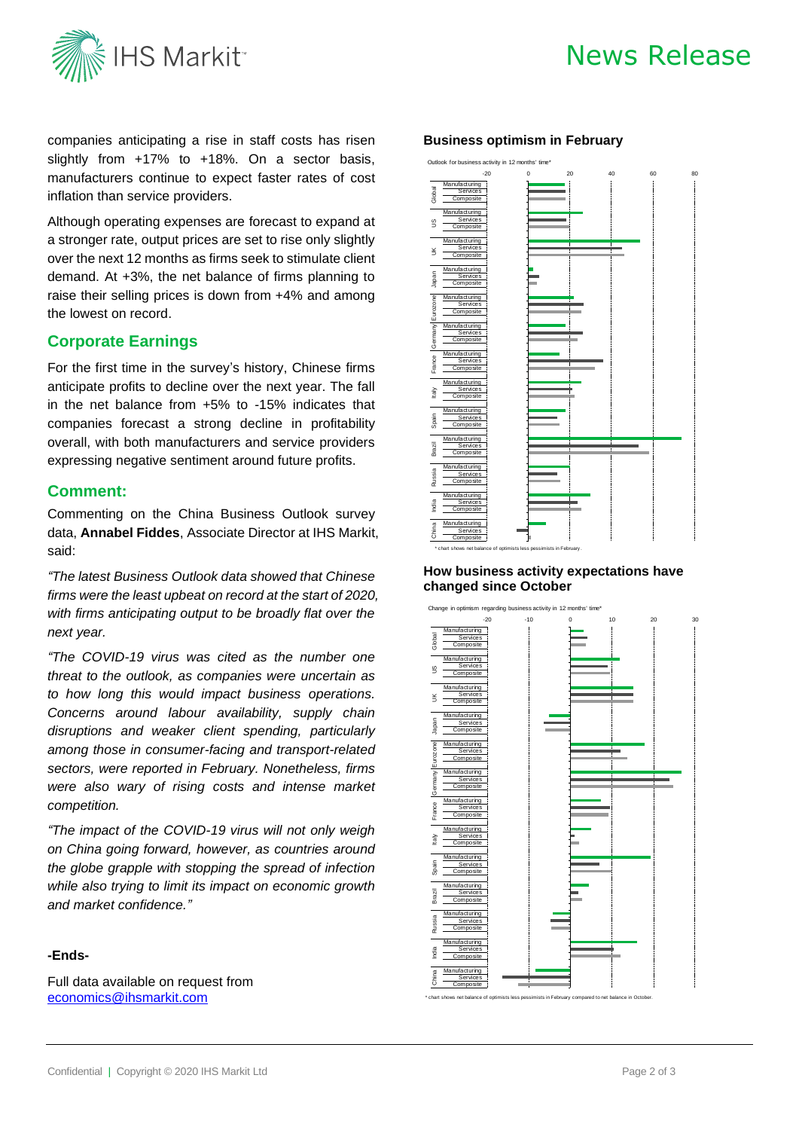

## News Release

companies anticipating a rise in staff costs has risen slightly from +17% to +18%. On a sector basis, manufacturers continue to expect faster rates of cost inflation than service providers.

Although operating expenses are forecast to expand at a stronger rate, output prices are set to rise only slightly over the next 12 months as firms seek to stimulate client demand. At +3%, the net balance of firms planning to raise their selling prices is down from +4% and among the lowest on record.

## **Corporate Earnings**

For the first time in the survey's history, Chinese firms anticipate profits to decline over the next year. The fall in the net balance from +5% to -15% indicates that companies forecast a strong decline in profitability overall, with both manufacturers and service providers expressing negative sentiment around future profits.

## **Comment:**

Commenting on the China Business Outlook survey data, **Annabel Fiddes**, Associate Director at IHS Markit, said:

*"The latest Business Outlook data showed that Chinese firms were the least upbeat on record at the start of 2020, with firms anticipating output to be broadly flat over the next year.* 

*"The COVID-19 virus was cited as the number one threat to the outlook, as companies were uncertain as to how long this would impact business operations. Concerns around labour availability, supply chain disruptions and weaker client spending, particularly among those in consumer-facing and transport-related sectors, were reported in February. Nonetheless, firms were also wary of rising costs and intense market competition.* 

*"The impact of the COVID-19 virus will not only weigh on China going forward, however, as countries around the globe grapple with stopping the spread of infection while also trying to limit its impact on economic growth and market confidence."*

## **-Ends-**

Full data available on request from [economics@ihsmarkit.com](mailto:economics@ihsmarkit.com)

### **Business optimism in February**



### **How business activity expectations have changed since October**